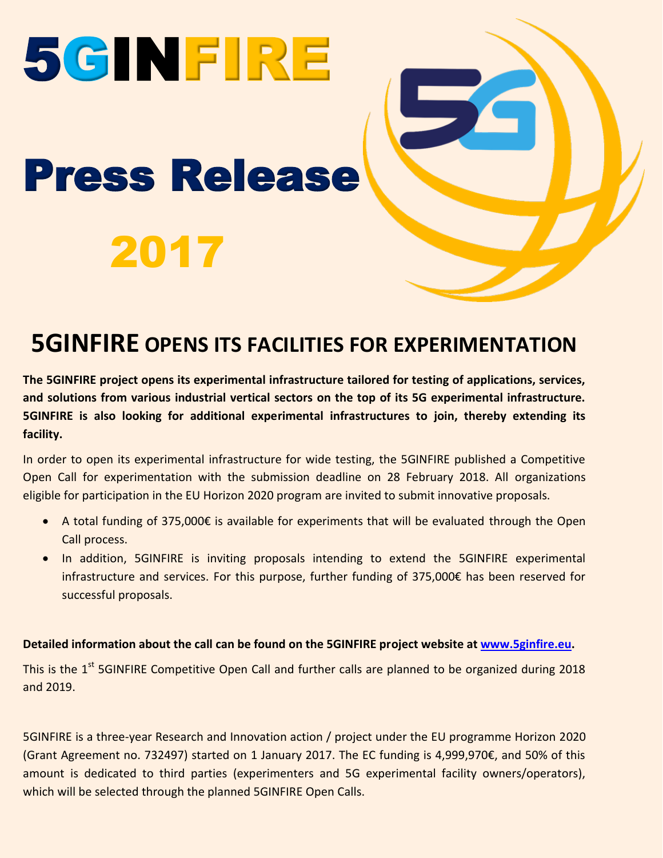# 5GINFIRE Press Release 2017

#### **5GINFIRE OPENS ITS FACILITIES FOR EXPERIMENTATION**

**The 5GINFIRE project opens its experimental infrastructure tailored for testing of applications, services, and solutions from various industrial vertical sectors on the top of its 5G experimental infrastructure. 5GINFIRE is also looking for additional experimental infrastructures to join, thereby extending its facility.**

In order to open its experimental infrastructure for wide testing, the 5GINFIRE published a Competitive Open Call for experimentation with the submission deadline on 28 February 2018. All organizations eligible for participation in the EU Horizon 2020 program are invited to submit innovative proposals.

- A total funding of 375,000€ is available for experiments that will be evaluated through the Open Call process.
- In addition, 5GINFIRE is inviting proposals intending to extend the 5GINFIRE experimental infrastructure and services. For this purpose, further funding of 375,000€ has been reserved for successful proposals.

#### **Detailed information about the call can be found on the 5GINFIRE project website at [www.5ginfire.eu.](http://www.5ginfire.eu/)**

This is the 1<sup>st</sup> 5GINFIRE Competitive Open Call and further calls are planned to be organized during 2018 and 2019.

5GINFIRE is a three-year Research and Innovation action / project under the EU programme Horizon 2020 (Grant Agreement no. 732497) started on 1 January 2017. The EC funding is 4,999,970€, and 50% of this amount is dedicated to third parties (experimenters and 5G experimental facility owners/operators), which will be selected through the planned 5GINFIRE Open Calls.